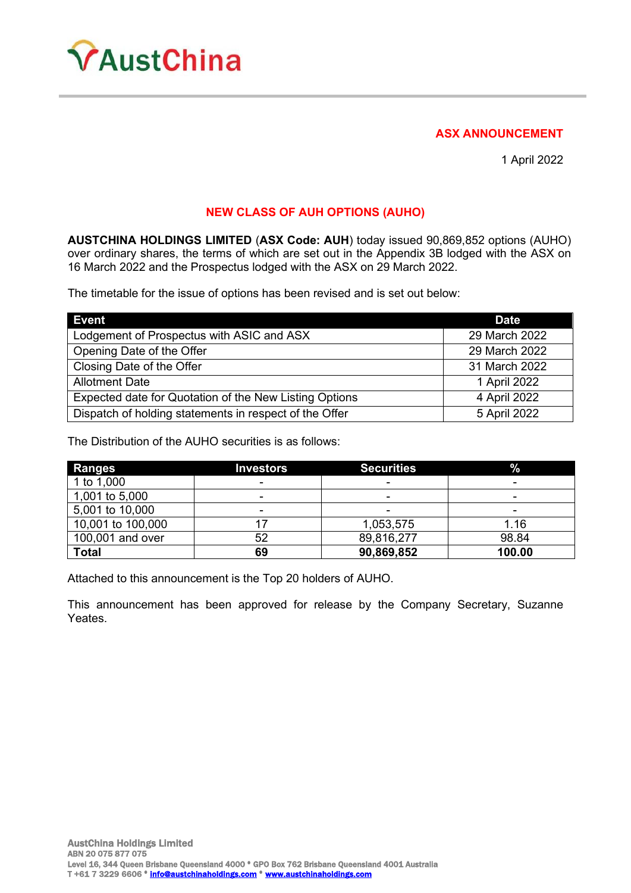

### **ASX ANNOUNCEMENT**

1 April 2022

# **NEW CLASS OF AUH OPTIONS (AUHO)**

**AUSTCHINA HOLDINGS LIMITED** (**ASX Code: AUH**) today issued 90,869,852 options (AUHO) over ordinary shares, the terms of which are set out in the Appendix 3B lodged with the ASX on 16 March 2022 and the Prospectus lodged with the ASX on 29 March 2022.

The timetable for the issue of options has been revised and is set out below:

| <b>Event</b>                                           | <b>Date</b>   |
|--------------------------------------------------------|---------------|
| Lodgement of Prospectus with ASIC and ASX              | 29 March 2022 |
| Opening Date of the Offer                              | 29 March 2022 |
| Closing Date of the Offer                              | 31 March 2022 |
| <b>Allotment Date</b>                                  | 1 April 2022  |
| Expected date for Quotation of the New Listing Options | 4 April 2022  |
| Dispatch of holding statements in respect of the Offer | 5 April 2022  |

The Distribution of the AUHO securities is as follows:

| <b>Ranges</b>     | <b>Investors</b>         | <b>Securities</b>        | $\%$   |
|-------------------|--------------------------|--------------------------|--------|
| 1 to 1,000        | ٠                        | -                        |        |
| 1,001 to 5,000    | $\blacksquare$           | -                        | -      |
| 5,001 to 10,000   | $\overline{\phantom{a}}$ | $\overline{\phantom{a}}$ | ۰      |
| 10,001 to 100,000 |                          | 1,053,575                | 1.16   |
| 100,001 and over  | 52                       | 89,816,277               | 98.84  |
| <b>Total</b>      | 69                       | 90,869,852               | 100.00 |

Attached to this announcement is the Top 20 holders of AUHO.

This announcement has been approved for release by the Company Secretary, Suzanne Yeates.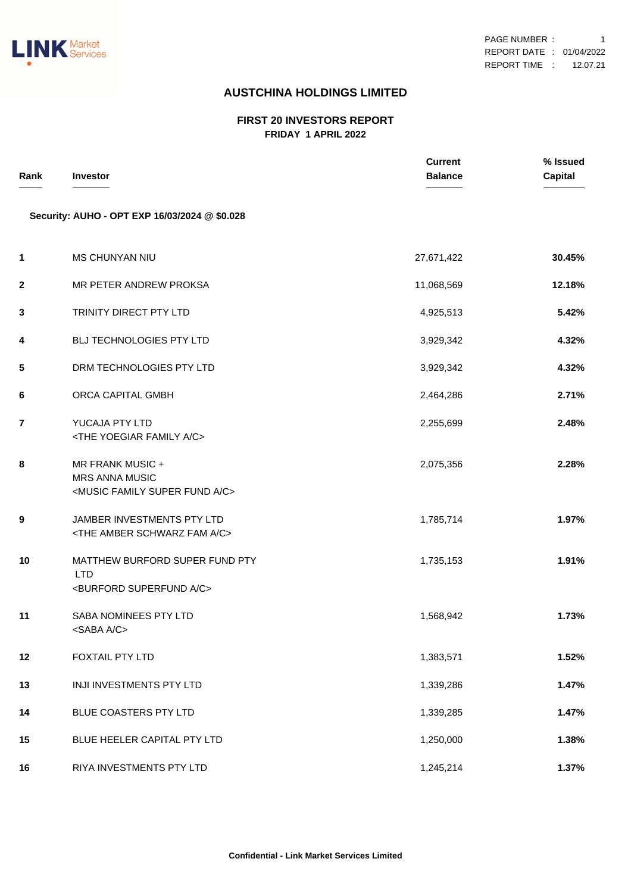

## **AUSTCHINA HOLDINGS LIMITED**

#### **FIRST 20 INVESTORS REPORT FRIDAY 1 APRIL 2022**

| Rank        | <b>Investor</b>                                                                                   | <b>Current</b><br><b>Balance</b> | % Issued<br><b>Capital</b> |
|-------------|---------------------------------------------------------------------------------------------------|----------------------------------|----------------------------|
|             | Security: AUHO - OPT EXP 16/03/2024 @ \$0.028                                                     |                                  |                            |
| 1           | <b>MS CHUNYAN NIU</b>                                                                             | 27,671,422                       | 30.45%                     |
| $\mathbf 2$ | MR PETER ANDREW PROKSA                                                                            | 11,068,569                       | 12.18%                     |
| 3           | TRINITY DIRECT PTY LTD                                                                            | 4,925,513                        | 5.42%                      |
| 4           | BLJ TECHNOLOGIES PTY LTD                                                                          | 3,929,342                        | 4.32%                      |
| 5           | DRM TECHNOLOGIES PTY LTD                                                                          | 3,929,342                        | 4.32%                      |
| 6           | ORCA CAPITAL GMBH                                                                                 | 2,464,286                        | 2.71%                      |
| 7           | YUCAJA PTY LTD<br><the a="" c="" family="" yoegiar=""></the>                                      | 2,255,699                        | 2.48%                      |
| 8           | MR FRANK MUSIC +<br><b>MRS ANNA MUSIC</b><br><music a="" c="" family="" fund="" super=""></music> | 2,075,356                        | 2.28%                      |
| 9           | JAMBER INVESTMENTS PTY LTD<br><the a="" amber="" c="" fam="" schwarz=""></the>                    | 1,785,714                        | 1.97%                      |
| 10          | MATTHEW BURFORD SUPER FUND PTY<br><b>LTD</b><br><burford a="" c="" superfund=""></burford>        | 1,735,153                        | 1.91%                      |
| 11          | SABA NOMINEES PTY LTD<br><saba a="" c=""></saba>                                                  | 1,568,942                        | 1.73%                      |
| 12          | FOXTAIL PTY LTD                                                                                   | 1,383,571                        | 1.52%                      |
| 13          | INJI INVESTMENTS PTY LTD                                                                          | 1,339,286                        | 1.47%                      |
| 14          | BLUE COASTERS PTY LTD                                                                             | 1,339,285                        | 1.47%                      |
| 15          | BLUE HEELER CAPITAL PTY LTD                                                                       | 1,250,000                        | 1.38%                      |
| 16          | RIYA INVESTMENTS PTY LTD                                                                          | 1,245,214                        | 1.37%                      |